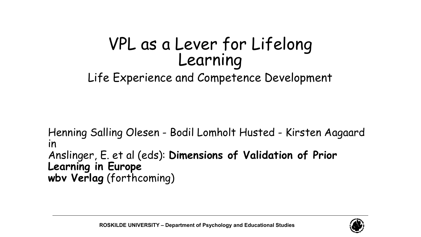# VPL as a Lever for Lifelong<br>Learning

#### Life Experience and Competence Development

Henning Salling Olesen - Bodil Lomholt Husted - Kirsten Aagaard in Anslinger, E. et al (eds): **Dimensions of Validation of Prior Learning in Europe wbv Verlag** (forthcoming)

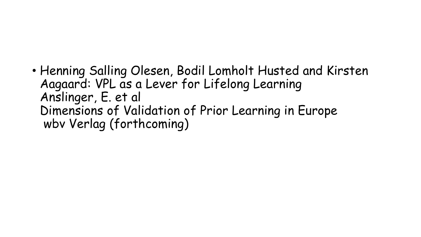• Henning Salling Olesen, Bodil Lomholt Husted and Kirsten Aagaard: VPL as a Lever for Lifelong Learning Anslinger, E. et al Dimensions of Validation of Prior Learning in Europe wbv Verlag (forthcoming)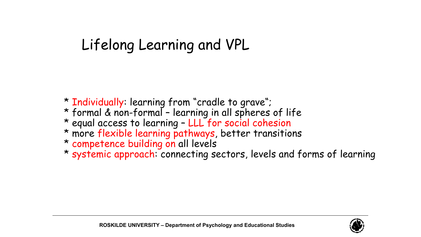## Lifelong Learning and VPL

- \* Individually: learning from "cradle to grave";
- \* formal & non-formal learning in all spheres of life
- \* equal access to learning LLL for social cohesion
- \* more flexible learning pathways, better transitions
- \* competence building on all levels
- \* systemic approach: connecting sectors, levels and forms of learning

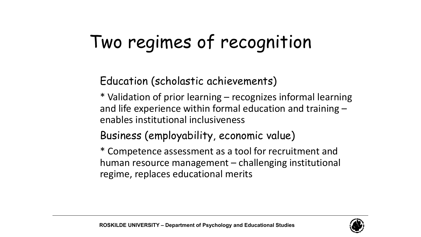# Two regimes of recognition

#### Education (scholastic achievements)

\* Validation of prior learning – recognizes informal learning and life experience within formal education and training – enables institutional inclusiveness

#### Business (employability, economic value)

\* Competence assessment as a tool for recruitment and human resource management – challenging institutional regime, replaces educational merits

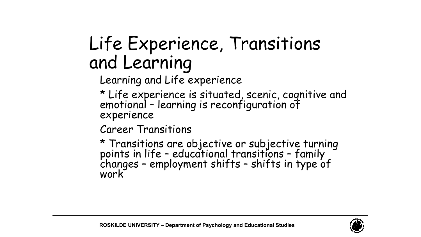## Life Experience, Transitions and Learning

Learning and Life experience

\* Life experience is situated, scenic, cognitive and emotional - learning is reconfiguration of<br>experience

Career Transitions

\* Transitions are objective or subjective turning points in life – educational transitions – family<br>changes – employment shifts – shifts in type of<br>work

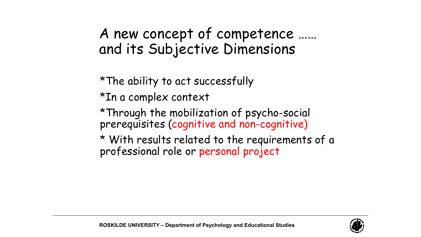### A new concept of competence …… and its Subjective Dimensions

\*The ability to act successfully

\*In a complex context

\*Through the mobilization of psycho-social prerequisites (cognitive and non-cognitive)

\* With results related to the requirements of a professional role or personal project

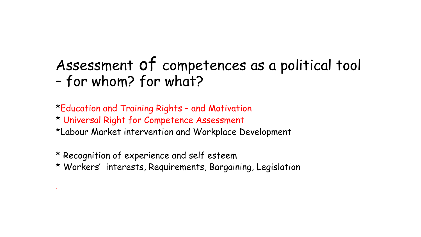## Assessment of competences as a political tool – for whom? for what?

\*Education and Training Rights – and Motivation

- \* Universal Right for Competence Assessment
- \*Labour Market intervention and Workplace Development
- \* Recognition of experience and self esteem

•

\* Workers' interests, Requirements, Bargaining, Legislation